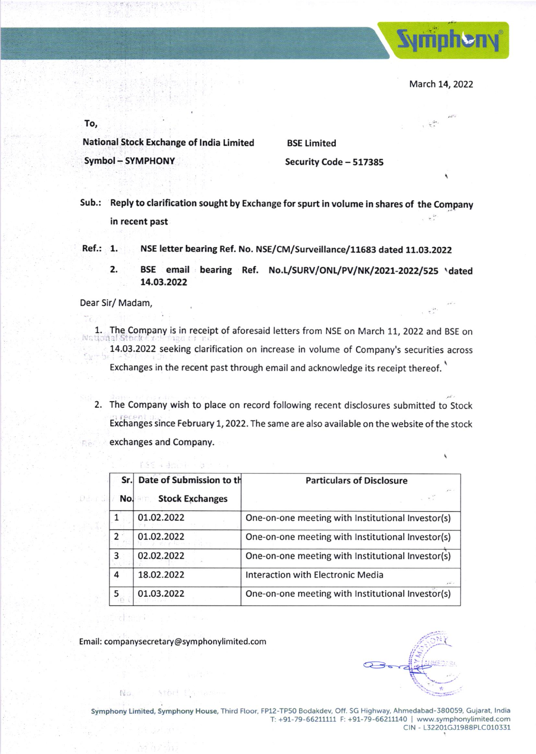

March 14, 2022

 $x^2 + y^2$ 

To,

National Stock Exchange of tndia Limited Symbol - SYMPHONY

8SE Limited Security Code - 517385

- Sub.: Reply to clarification sought by Exchange for spurt in volume in shares of the Company  $\omega^{ik}$ in recent past
- Ref.: 1. NSE letter bearing Ref. No. NSE/CM/Surveillance/11683 dated 11.03.2022
	- 2. BSE email bearing Ref. No.L/SURV/ONL/PV/NK/2021-2022/525 \dated ,4,o3.2022

Dear Sir/ Madam

- 1. The Company is in receipt of aforesaid letters from NSE on March 11, 2022 and BSE on<br>1804 Stocket of Longue Compa 74.O3.2022 seeking clarification on increase in volume of Company's securities across Exchanges in the recent past through email and acknowledge its receipt thereof.
- 2. The Company wish to place on record following recent disclosures submitted to Stock Exchanges since February 1, 2022. The same are also available on the website of the stock exchanges and Company. Rã.

|   | Sr. Date of Submission to th | <b>Particulars of Disclosure</b>                  |
|---|------------------------------|---------------------------------------------------|
|   | No. Stock Exchanges          | <b>MAG</b>                                        |
|   | 01.02.2022                   | One-on-one meeting with Institutional Investor(s) |
|   | 01.02.2022                   | One-on-one meeting with Institutional Investor(s) |
| 3 | 02.02.2022                   | One-on-one meeting with Institutional Investor(s) |
| 4 | 18.02.2022                   | Interaction with Electronic Media                 |
| 5 | 01.03.2022                   | One-on-one meeting with Institutional Investor(s) |

Email: companysecretary@symphonylimited.com

Arbri E

dti

No.

ESS + Brazil - profile

 $\mathscr{I}$  or  $\mathfrak{i}$ :.- r

\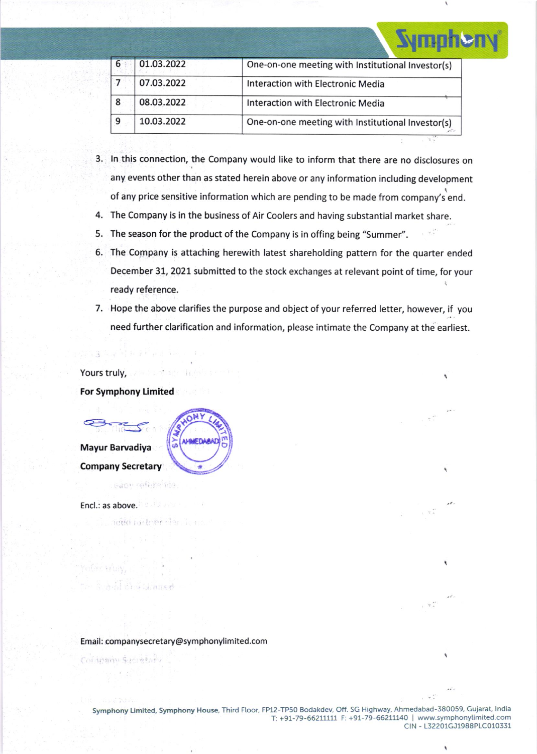|   |            | <b>Nmnhei</b>                                     |
|---|------------|---------------------------------------------------|
| 6 | 01.03.2022 | One-on-one meeting with Institutional Investor(s) |
|   | 07.03.2022 | Interaction with Electronic Media                 |
| 8 | 08.03.2022 | Interaction with Electronic Media                 |
| 9 | 10.03.2022 | One-on-one meeting with Institutional Investor(s) |
|   |            |                                                   |

- 3. ln this connection, the Company would like to inform that there are no disclosures on any events other than as stated herein above or any information including development of any price sensitive information which are pending to be made from company's end.
- 4. The Company is in the business of Air Coolers and having substantial market share.
- 5. The season for the product of the Company is in offing being "Summer".
- 5. The Company is attaching herewith latest shareholding pattern for the quarter ended December 31, 2021 submitted to the stock exchanges at relevant point of time, for your ready reference.
- 7. Hope the above clarifies the purpose and object of your referred letter, however, if you need further clarification and information, please intimate the Company at the earliest.

Yours truly, a constant of the

For Symphony Limited

Mayur Barvadiya Company Secretary

each referende.

anna tarthar d

hu Shance

Encl.: as above.

#### Email: companysecretary@symphonylimited.com

**AMMEDAA** 

Cofanning Sacretary

Symphony Limited, Symphony House, Third Floor, FP12-TP50 Bodakdev, Off. SG Highway, Ahmedabad-380059, Gujarat, India<br>T: +91-79-66211111 F: +91-79-66211140 | www.symphonylimited.com ctN - 132201GJ1988P1C010331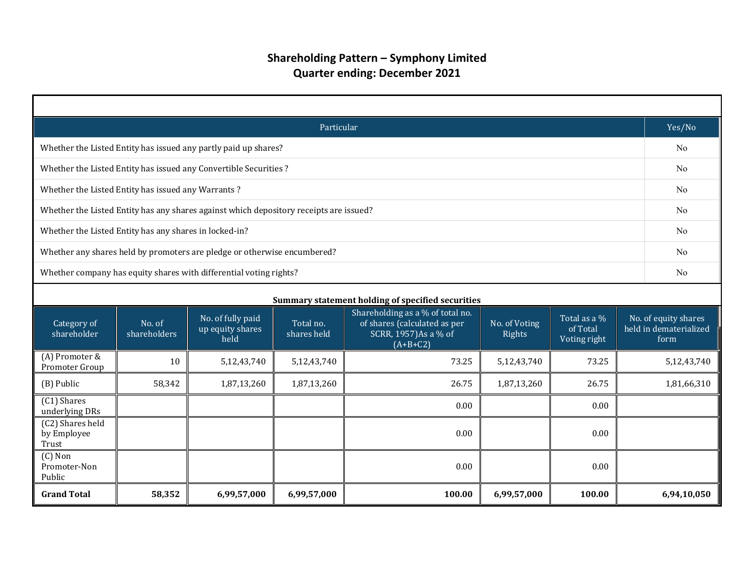| Particular                                                         |                                                   |                                                                                        |                                                                                                                                                                                                                                                             |        |             |        |  |                |  |  |  |
|--------------------------------------------------------------------|---------------------------------------------------|----------------------------------------------------------------------------------------|-------------------------------------------------------------------------------------------------------------------------------------------------------------------------------------------------------------------------------------------------------------|--------|-------------|--------|--|----------------|--|--|--|
| Whether the Listed Entity has issued any partly paid up shares?    |                                                   |                                                                                        |                                                                                                                                                                                                                                                             |        |             |        |  |                |  |  |  |
| Whether the Listed Entity has issued any Convertible Securities?   |                                                   |                                                                                        |                                                                                                                                                                                                                                                             |        |             |        |  |                |  |  |  |
| Whether the Listed Entity has issued any Warrants?                 |                                                   |                                                                                        |                                                                                                                                                                                                                                                             |        |             |        |  |                |  |  |  |
|                                                                    |                                                   | Whether the Listed Entity has any shares against which depository receipts are issued? |                                                                                                                                                                                                                                                             |        |             |        |  | No             |  |  |  |
| Whether the Listed Entity has any shares in locked-in?             |                                                   |                                                                                        |                                                                                                                                                                                                                                                             |        |             |        |  | N <sub>o</sub> |  |  |  |
|                                                                    |                                                   | Whether any shares held by promoters are pledge or otherwise encumbered?               |                                                                                                                                                                                                                                                             |        |             |        |  | N <sub>o</sub> |  |  |  |
| Whether company has equity shares with differential voting rights? |                                                   |                                                                                        |                                                                                                                                                                                                                                                             |        |             |        |  |                |  |  |  |
|                                                                    | Summary statement holding of specified securities |                                                                                        |                                                                                                                                                                                                                                                             |        |             |        |  |                |  |  |  |
| Category of<br>shareholder                                         | No. of<br>shareholders                            | No. of fully paid<br>up equity shares<br>held                                          | Shareholding as a % of total no.<br>No. of equity shares<br>Total as a %<br>of shares (calculated as per<br>No. of Voting<br>Total no.<br>held in dematerialized<br>of Total<br>shares held<br>SCRR, 1957)As a % of<br>Rights<br>Voting right<br>$(A+B+C2)$ |        |             |        |  |                |  |  |  |
| (A) Promoter &<br>Promoter Group                                   | 10                                                | 5,12,43,740                                                                            | 5,12,43,740                                                                                                                                                                                                                                                 | 73.25  | 5,12,43,740 | 73.25  |  | 5,12,43,740    |  |  |  |
| (B) Public                                                         | 58,342                                            | 1,87,13,260                                                                            | 1,87,13,260                                                                                                                                                                                                                                                 | 26.75  | 1,87,13,260 | 26.75  |  | 1,81,66,310    |  |  |  |
| (C1) Shares<br>underlying DRs                                      |                                                   |                                                                                        |                                                                                                                                                                                                                                                             | 0.00   |             | 0.00   |  |                |  |  |  |
| (C2) Shares held<br>by Employee<br>Trust                           | 0.00<br>0.00                                      |                                                                                        |                                                                                                                                                                                                                                                             |        |             |        |  |                |  |  |  |
| $(C)$ Non<br>Promoter-Non<br>Public                                |                                                   |                                                                                        |                                                                                                                                                                                                                                                             | 0.00   |             | 0.00   |  |                |  |  |  |
| <b>Grand Total</b>                                                 | 58,352                                            | 6,99,57,000                                                                            | 6,99,57,000                                                                                                                                                                                                                                                 | 100.00 | 6,99,57,000 | 100.00 |  | 6,94,10,050    |  |  |  |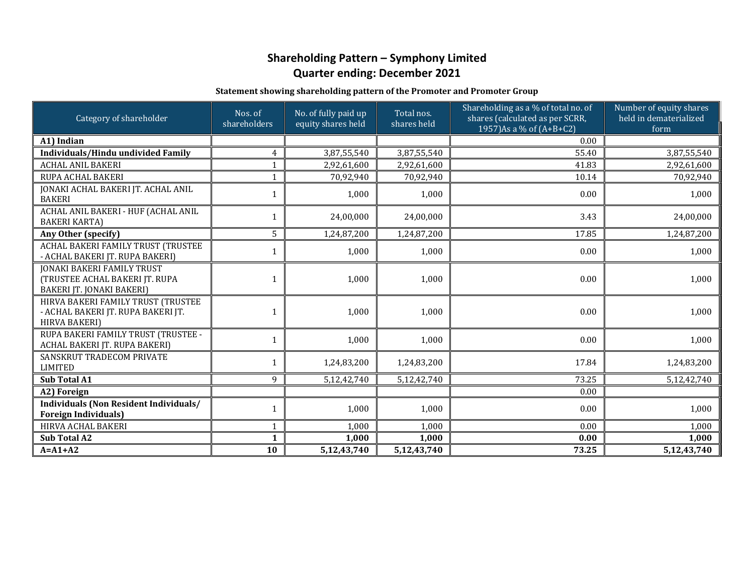#### **Statement showing shareholding pattern of the Promoter and Promoter Group**

| Category of shareholder                                                                          | Nos. of<br>shareholders | No. of fully paid up<br>equity shares held | Total nos.<br>shares held | Shareholding as a % of total no. of<br>shares (calculated as per SCRR,<br>1957) As a % of (A+B+C2) | Number of equity shares<br>held in dematerialized<br>form |
|--------------------------------------------------------------------------------------------------|-------------------------|--------------------------------------------|---------------------------|----------------------------------------------------------------------------------------------------|-----------------------------------------------------------|
| A1) Indian                                                                                       |                         |                                            |                           | 0.00                                                                                               |                                                           |
| <b>Individuals/Hindu undivided Family</b>                                                        | $\overline{4}$          | 3,87,55,540                                | 3,87,55,540               | 55.40                                                                                              | 3,87,55,540                                               |
| <b>ACHAL ANIL BAKERI</b>                                                                         | $\mathbf{1}$            | 2,92,61,600                                | 2,92,61,600               | 41.83                                                                                              | 2,92,61,600                                               |
| RUPA ACHAL BAKERI                                                                                | $\mathbf{1}$            | 70,92,940                                  | 70,92,940                 | 10.14                                                                                              | 70,92,940                                                 |
| JONAKI ACHAL BAKERI JT. ACHAL ANIL<br><b>BAKERI</b>                                              | 1                       | 1,000                                      | 1,000                     | 0.00                                                                                               | 1,000                                                     |
| ACHAL ANIL BAKERI - HUF (ACHAL ANIL<br><b>BAKERI KARTA)</b>                                      | $\mathbf{1}$            | 24,00,000                                  | 24,00,000                 | 3.43                                                                                               | 24,00,000                                                 |
| Any Other (specify)                                                                              | 5                       | 1,24,87,200                                | 1,24,87,200               | 17.85                                                                                              | 1,24,87,200                                               |
| ACHAL BAKERI FAMILY TRUST (TRUSTEE<br>- ACHAL BAKERI JT. RUPA BAKERI)                            | 1                       | 1,000                                      | 1,000                     | 0.00                                                                                               | 1,000                                                     |
| <b>JONAKI BAKERI FAMILY TRUST</b><br>(TRUSTEE ACHAL BAKERI JT. RUPA<br>BAKERI JT. JONAKI BAKERI) | $\mathbf{1}$            | 1,000                                      | 1,000                     | 0.00                                                                                               | 1,000                                                     |
| HIRVA BAKERI FAMILY TRUST (TRUSTEE<br>- ACHAL BAKERI JT. RUPA BAKERI JT.<br><b>HIRVA BAKERI)</b> | $\mathbf{1}$            | 1,000                                      | 1,000                     | 0.00                                                                                               | 1,000                                                     |
| RUPA BAKERI FAMILY TRUST (TRUSTEE -<br>ACHAL BAKERI JT. RUPA BAKERI)                             | $\mathbf{1}$            | 1,000                                      | 1,000                     | 0.00                                                                                               | 1,000                                                     |
| SANSKRUT TRADECOM PRIVATE<br><b>LIMITED</b>                                                      | $\mathbf{1}$            | 1,24,83,200                                | 1,24,83,200               | 17.84                                                                                              | 1,24,83,200                                               |
| <b>Sub Total A1</b>                                                                              | 9                       | 5,12,42,740                                | 5,12,42,740               | 73.25                                                                                              | 5,12,42,740                                               |
| A2) Foreign                                                                                      |                         |                                            |                           | 0.00                                                                                               |                                                           |
| Individuals (Non Resident Individuals/<br><b>Foreign Individuals)</b>                            | 1                       | 1,000                                      | 1,000                     | 0.00                                                                                               | 1,000                                                     |
| HIRVA ACHAL BAKERI                                                                               | $\mathbf{1}$            | 1,000                                      | 1,000                     | 0.00                                                                                               | 1,000                                                     |
| <b>Sub Total A2</b>                                                                              | $\mathbf{1}$            | 1,000                                      | 1,000                     | 0.00                                                                                               | 1,000                                                     |
| $A = A1 + A2$                                                                                    | 10                      | 5,12,43,740                                | 5,12,43,740               | 73.25                                                                                              | 5,12,43,740                                               |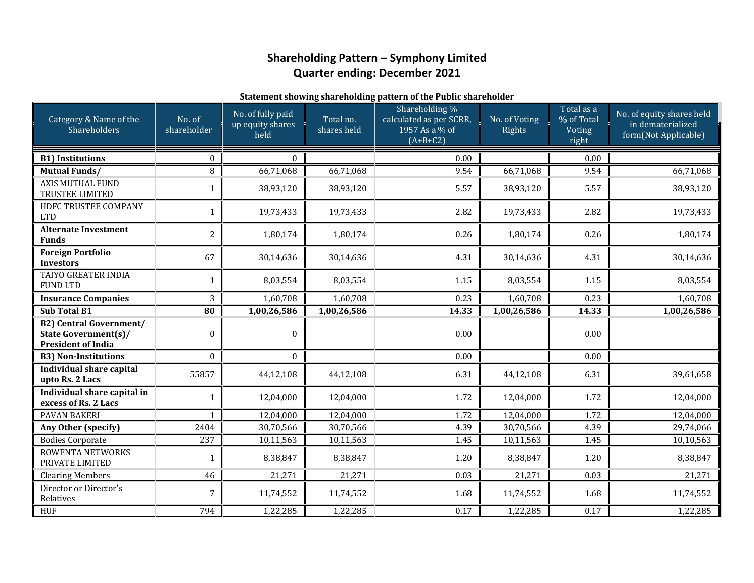#### **Statement showing shareholding pattern of the Public shareholder**

| Category & Name of the<br>Shareholders                                                     | No. of<br>shareholder | No. of fully paid<br>up equity shares<br>held | Total no.<br>shares held | Shareholding %<br>calculated as per SCRR,<br>1957 As a % of<br>$(A+B+C2)$ | No. of Voting<br>Rights | Total as a<br>% of Total<br>Voting<br>right | No. of equity shares held<br>in dematerialized<br>form(Not Applicable) |
|--------------------------------------------------------------------------------------------|-----------------------|-----------------------------------------------|--------------------------|---------------------------------------------------------------------------|-------------------------|---------------------------------------------|------------------------------------------------------------------------|
| <b>B1) Institutions</b>                                                                    | $\mathbf{0}$          | $\Omega$                                      |                          | 0.00                                                                      |                         | 0.00                                        |                                                                        |
| <b>Mutual Funds/</b>                                                                       | 8                     | 66,71,068                                     | 66,71,068                | 9.54                                                                      | 66,71,068               | 9.54                                        | 66,71,068                                                              |
| <b>AXIS MUTUAL FUND</b><br>TRUSTEE LIMITED                                                 |                       | 38,93,120                                     | 38,93,120                | 5.57                                                                      | 38,93,120               | 5.57                                        | 38,93,120                                                              |
| HDFC TRUSTEE COMPANY<br><b>LTD</b>                                                         | 1                     | 19,73,433                                     | 19,73,433                | 2.82                                                                      | 19,73,433               | 2.82                                        | 19,73,433                                                              |
| <b>Alternate Investment</b><br><b>Funds</b>                                                | $\overline{c}$        | 1,80,174                                      | 1,80,174                 | 0.26                                                                      | 1,80,174                | 0.26                                        | 1,80,174                                                               |
| <b>Foreign Portfolio</b><br><b>Investors</b>                                               | 67                    | 30,14,636                                     | 30,14,636                | 4.31                                                                      | 30,14,636               | 4.31                                        | 30,14,636                                                              |
| TAIYO GREATER INDIA<br><b>FUND LTD</b>                                                     | 1                     | 8,03,554                                      | 8,03,554                 | 1.15                                                                      | 8,03,554                | 1.15                                        | 8,03,554                                                               |
| <b>Insurance Companies</b>                                                                 | 3                     | 1,60,708                                      | 1,60,708                 | 0.23                                                                      | 1,60,708                | 0.23                                        | 1,60,708                                                               |
| <b>Sub Total B1</b>                                                                        | 80                    | 1,00,26,586                                   | 1,00,26,586              | 14.33                                                                     | 1,00,26,586             | 14.33                                       | 1,00,26,586                                                            |
| <b>B2)</b> Central Government/<br><b>State Government(s)/</b><br><b>President of India</b> | $\theta$              | $\boldsymbol{0}$                              |                          | 0.00                                                                      |                         | 0.00                                        |                                                                        |
| <b>B3) Non-Institutions</b>                                                                | $\mathbf{0}$          | $\mathbf{0}$                                  |                          | $\overline{0.00}$                                                         |                         | $\overline{0.00}$                           |                                                                        |
| <b>Individual share capital</b><br>upto Rs. 2 Lacs                                         | 55857                 | 44,12,108                                     | 44,12,108                | 6.31                                                                      | 44,12,108               | 6.31                                        | 39,61,658                                                              |
| Individual share capital in<br>excess of Rs. 2 Lacs                                        | 1                     | 12,04,000                                     | 12,04,000                | 1.72                                                                      | 12,04,000               | 1.72                                        | 12,04,000                                                              |
| <b>PAVAN BAKERI</b>                                                                        | 1                     | 12,04,000                                     | 12,04,000                | 1.72                                                                      | 12,04,000               | 1.72                                        | 12,04,000                                                              |
| Any Other (specify)                                                                        | 2404                  | 30,70,566                                     | 30,70,566                | 4.39                                                                      | 30,70,566               | 4.39                                        | 29,74,066                                                              |
| <b>Bodies Corporate</b>                                                                    | 237                   | 10,11,563                                     | 10,11,563                | 1.45                                                                      | 10,11,563               | 1.45                                        | 10,10,563                                                              |
| ROWENTA NETWORKS<br>PRIVATE LIMITED                                                        | 1                     | 8,38,847                                      | 8,38,847                 | 1.20                                                                      | 8,38,847                | 1.20                                        | 8,38,847                                                               |
| <b>Clearing Members</b>                                                                    | 46                    | 21,271                                        | 21,271                   | 0.03                                                                      | 21,271                  | 0.03                                        | 21,271                                                                 |
| Director or Director's<br>Relatives                                                        | 7                     | 11,74,552                                     | 11,74,552                | 1.68                                                                      | 11,74,552               | 1.68                                        | 11,74,552                                                              |
| <b>HUF</b>                                                                                 | 794                   | 1,22,285                                      | 1,22,285                 | 0.17                                                                      | 1,22,285                | $\overline{0.17}$                           | 1,22,285                                                               |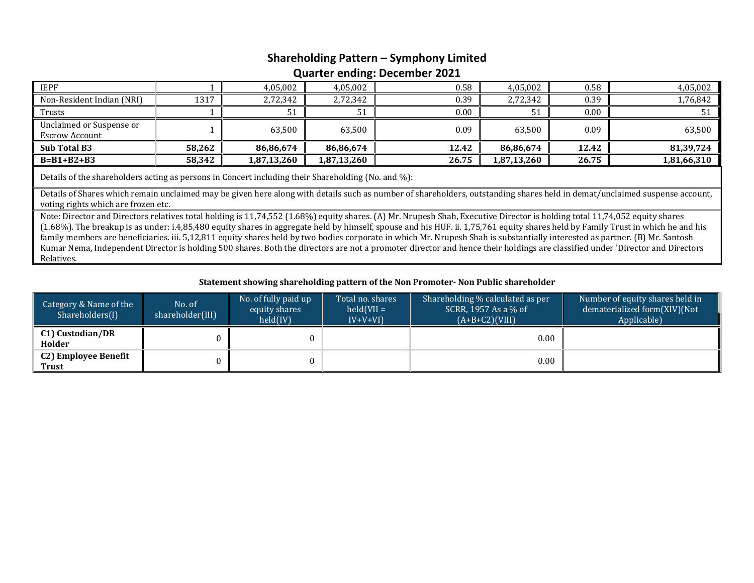## **Shareholding Pattern – Symphony Limited**

### **Quarter ending: December 2021**

| <b>IEPF</b>                                                                                                                                                                                                                                                                                                                                                                                                                                                                                                                                                                                                                                                                                                                                                                         |        | 4,05,002    | 4,05,002    | 0.58  | 4,05,002    | 0.58  | 4,05,002    |  |  |  |
|-------------------------------------------------------------------------------------------------------------------------------------------------------------------------------------------------------------------------------------------------------------------------------------------------------------------------------------------------------------------------------------------------------------------------------------------------------------------------------------------------------------------------------------------------------------------------------------------------------------------------------------------------------------------------------------------------------------------------------------------------------------------------------------|--------|-------------|-------------|-------|-------------|-------|-------------|--|--|--|
| Non-Resident Indian (NRI)                                                                                                                                                                                                                                                                                                                                                                                                                                                                                                                                                                                                                                                                                                                                                           | 1317   | 2,72,342    | 2,72,342    | 0.39  | 2,72,342    | 0.39  | 1,76,842    |  |  |  |
| Trusts                                                                                                                                                                                                                                                                                                                                                                                                                                                                                                                                                                                                                                                                                                                                                                              |        | 51          | 51          | 0.00  | 51          | 0.00  | 51          |  |  |  |
| Unclaimed or Suspense or                                                                                                                                                                                                                                                                                                                                                                                                                                                                                                                                                                                                                                                                                                                                                            |        | 63,500      | 63,500      | 0.09  | 63,500      | 0.09  | 63,500      |  |  |  |
| <b>Escrow Account</b>                                                                                                                                                                                                                                                                                                                                                                                                                                                                                                                                                                                                                                                                                                                                                               |        |             |             |       |             |       |             |  |  |  |
| Sub Total B3                                                                                                                                                                                                                                                                                                                                                                                                                                                                                                                                                                                                                                                                                                                                                                        | 58,262 | 86,86,674   | 86,86,674   | 12.42 | 86,86,674   | 12.42 | 81,39,724   |  |  |  |
| $B=B1+B2+B3$                                                                                                                                                                                                                                                                                                                                                                                                                                                                                                                                                                                                                                                                                                                                                                        | 58,342 | 1,87,13,260 | 1,87,13,260 | 26.75 | 1,87,13,260 | 26.75 | 1,81,66,310 |  |  |  |
| Details of the shareholders acting as persons in Concert including their Shareholding (No. and %):                                                                                                                                                                                                                                                                                                                                                                                                                                                                                                                                                                                                                                                                                  |        |             |             |       |             |       |             |  |  |  |
| Details of Shares which remain unclaimed may be given here along with details such as number of shareholders, outstanding shares held in demat/unclaimed suspense account,                                                                                                                                                                                                                                                                                                                                                                                                                                                                                                                                                                                                          |        |             |             |       |             |       |             |  |  |  |
| voting rights which are frozen etc.<br>Note: Director and Directors relatives total holding is 11,74,552 (1.68%) equity shares. (A) Mr. Nrupesh Shah, Executive Director is holding total 11,74,052 equity shares<br>(1.68%). The breakup is as under: i.4,85,480 equity shares in aggregate held by himself, spouse and his HUF. ii. 1,75,761 equity shares held by Family Trust in which he and his<br>family members are beneficiaries. iii. 5,12,811 equity shares held by two bodies corporate in which Mr. Nrupesh Shah is substantially interested as partner. (B) Mr. Santosh<br>Kumar Nema, Independent Director is holding 500 shares. Both the directors are not a promoter director and hence their holdings are classified under 'Director and Directors<br>Relatives. |        |             |             |       |             |       |             |  |  |  |

### **Statement showing shareholding pattern of the Non Promoter‐ Non Public shareholder**

| Category & Name of the<br>Shareholders(I) | No. of<br>shareholder(III) | No. of fully paid up<br>Total no. shares<br>$held(VII =$<br>equity shares<br>held(IV)<br>$IV+V+VI$ |  | Shareholding % calculated as per<br>SCRR, 1957 As a % of<br>$(A+B+C2)(VIII)$ | Number of equity shares held in<br>dematerialized form(XIV)(Not<br>Applicable) |
|-------------------------------------------|----------------------------|----------------------------------------------------------------------------------------------------|--|------------------------------------------------------------------------------|--------------------------------------------------------------------------------|
| C1) Custodian/DR<br>Holder                |                            |                                                                                                    |  | $0.00\,$                                                                     |                                                                                |
| C2) Employee Benefit<br><b>Trust</b>      |                            |                                                                                                    |  | 0.00                                                                         |                                                                                |